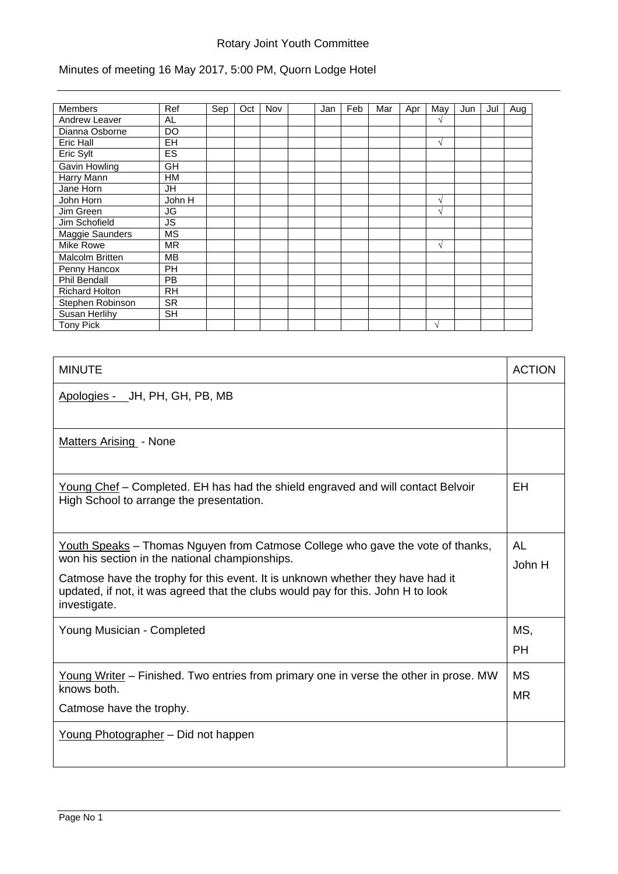# Rotary Joint Youth Committee

# Minutes of meeting 16 May 2017, 5:00 PM, Quorn Lodge Hotel

| <b>Members</b>         | Ref       | Sep | Oct | Nov | Jan | Feb | Mar | Apr | May        | Jun | Jul | Aug |
|------------------------|-----------|-----|-----|-----|-----|-----|-----|-----|------------|-----|-----|-----|
| <b>Andrew Leaver</b>   | AL        |     |     |     |     |     |     |     | N          |     |     |     |
| Dianna Osborne         | DO        |     |     |     |     |     |     |     |            |     |     |     |
| Eric Hall              | <b>EH</b> |     |     |     |     |     |     |     | V          |     |     |     |
| Eric Sylt              | ES        |     |     |     |     |     |     |     |            |     |     |     |
| Gavin Howling          | GH        |     |     |     |     |     |     |     |            |     |     |     |
| <b>Harry Mann</b>      | <b>HM</b> |     |     |     |     |     |     |     |            |     |     |     |
| Jane Horn              | JH        |     |     |     |     |     |     |     |            |     |     |     |
| John Horn              | John H    |     |     |     |     |     |     |     | V          |     |     |     |
| Jim Green              | JG        |     |     |     |     |     |     |     | V          |     |     |     |
| Jim Schofield          | JS        |     |     |     |     |     |     |     |            |     |     |     |
| Maggie Saunders        | <b>MS</b> |     |     |     |     |     |     |     |            |     |     |     |
| Mike Rowe              | <b>MR</b> |     |     |     |     |     |     |     | V          |     |     |     |
| <b>Malcolm Britten</b> | MВ        |     |     |     |     |     |     |     |            |     |     |     |
| Penny Hancox           | <b>PH</b> |     |     |     |     |     |     |     |            |     |     |     |
| <b>Phil Bendall</b>    | <b>PB</b> |     |     |     |     |     |     |     |            |     |     |     |
| Richard Holton         | <b>RH</b> |     |     |     |     |     |     |     |            |     |     |     |
| Stephen Robinson       | <b>SR</b> |     |     |     |     |     |     |     |            |     |     |     |
| Susan Herlihy          | SH        |     |     |     |     |     |     |     |            |     |     |     |
| <b>Tony Pick</b>       |           |     |     |     |     |     |     |     | $\sqrt{ }$ |     |     |     |

| <b>MINUTE</b>                                                                                                                                                                                                                                                                                                          | <b>ACTION</b>          |
|------------------------------------------------------------------------------------------------------------------------------------------------------------------------------------------------------------------------------------------------------------------------------------------------------------------------|------------------------|
| Apologies - JH, PH, GH, PB, MB                                                                                                                                                                                                                                                                                         |                        |
| Matters Arising - None                                                                                                                                                                                                                                                                                                 |                        |
| Young Chef - Completed. EH has had the shield engraved and will contact Belvoir<br>High School to arrange the presentation.                                                                                                                                                                                            | EH                     |
| Youth Speaks – Thomas Nguyen from Catmose College who gave the vote of thanks,<br>won his section in the national championships.<br>Catmose have the trophy for this event. It is unknown whether they have had it<br>updated, if not, it was agreed that the clubs would pay for this. John H to look<br>investigate. | AL<br>John H           |
| Young Musician - Completed                                                                                                                                                                                                                                                                                             | MS,<br><b>PH</b>       |
| Young Writer – Finished. Two entries from primary one in verse the other in prose. MW<br>knows both.<br>Catmose have the trophy.                                                                                                                                                                                       | <b>MS</b><br><b>MR</b> |
| Young Photographer - Did not happen                                                                                                                                                                                                                                                                                    |                        |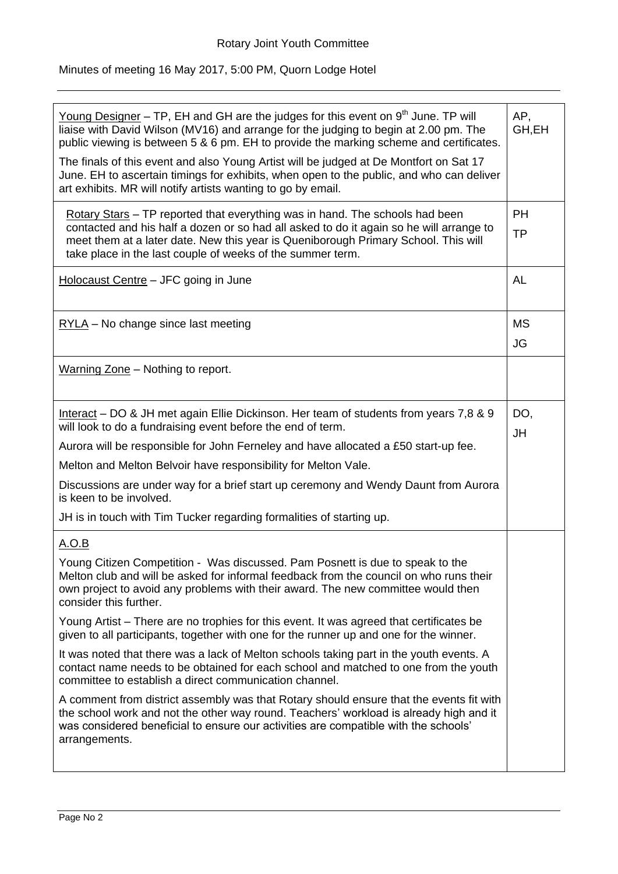# Minutes of meeting 16 May 2017, 5:00 PM, Quorn Lodge Hotel

| <u>Young Designer</u> – TP, EH and GH are the judges for this event on $9th$ June. TP will<br>liaise with David Wilson (MV16) and arrange for the judging to begin at 2.00 pm. The<br>public viewing is between 5 & 6 pm. EH to provide the marking scheme and certificates.<br>The finals of this event and also Young Artist will be judged at De Montfort on Sat 17<br>June. EH to ascertain timings for exhibits, when open to the public, and who can deliver<br>art exhibits. MR will notify artists wanting to go by email. | AP,<br>GH,EH           |
|------------------------------------------------------------------------------------------------------------------------------------------------------------------------------------------------------------------------------------------------------------------------------------------------------------------------------------------------------------------------------------------------------------------------------------------------------------------------------------------------------------------------------------|------------------------|
|                                                                                                                                                                                                                                                                                                                                                                                                                                                                                                                                    |                        |
| Rotary Stars - TP reported that everything was in hand. The schools had been<br>contacted and his half a dozen or so had all asked to do it again so he will arrange to<br>meet them at a later date. New this year is Queniborough Primary School. This will<br>take place in the last couple of weeks of the summer term.                                                                                                                                                                                                        | <b>PH</b><br><b>TP</b> |
| Holocaust Centre - JFC going in June                                                                                                                                                                                                                                                                                                                                                                                                                                                                                               | AL                     |
| $RYLA - No change since last meeting$                                                                                                                                                                                                                                                                                                                                                                                                                                                                                              | MS<br>JG               |
| Warning Zone - Nothing to report.                                                                                                                                                                                                                                                                                                                                                                                                                                                                                                  |                        |
| Interact – DO & JH met again Ellie Dickinson. Her team of students from years 7,8 & 9<br>will look to do a fundraising event before the end of term.                                                                                                                                                                                                                                                                                                                                                                               | DO,<br>JH              |
| Aurora will be responsible for John Ferneley and have allocated a £50 start-up fee.                                                                                                                                                                                                                                                                                                                                                                                                                                                |                        |
| Melton and Melton Belvoir have responsibility for Melton Vale.                                                                                                                                                                                                                                                                                                                                                                                                                                                                     |                        |
| Discussions are under way for a brief start up ceremony and Wendy Daunt from Aurora<br>is keen to be involved.                                                                                                                                                                                                                                                                                                                                                                                                                     |                        |
| JH is in touch with Tim Tucker regarding formalities of starting up.                                                                                                                                                                                                                                                                                                                                                                                                                                                               |                        |
| <u>A.O.B</u>                                                                                                                                                                                                                                                                                                                                                                                                                                                                                                                       |                        |
| Young Citizen Competition - Was discussed. Pam Posnett is due to speak to the<br>Melton club and will be asked for informal feedback from the council on who runs their<br>own project to avoid any problems with their award. The new committee would then<br>consider this further.                                                                                                                                                                                                                                              |                        |
| Young Artist – There are no trophies for this event. It was agreed that certificates be<br>given to all participants, together with one for the runner up and one for the winner.                                                                                                                                                                                                                                                                                                                                                  |                        |
| It was noted that there was a lack of Melton schools taking part in the youth events. A<br>contact name needs to be obtained for each school and matched to one from the youth<br>committee to establish a direct communication channel.                                                                                                                                                                                                                                                                                           |                        |
| A comment from district assembly was that Rotary should ensure that the events fit with<br>the school work and not the other way round. Teachers' workload is already high and it<br>was considered beneficial to ensure our activities are compatible with the schools'<br>arrangements.                                                                                                                                                                                                                                          |                        |
|                                                                                                                                                                                                                                                                                                                                                                                                                                                                                                                                    |                        |